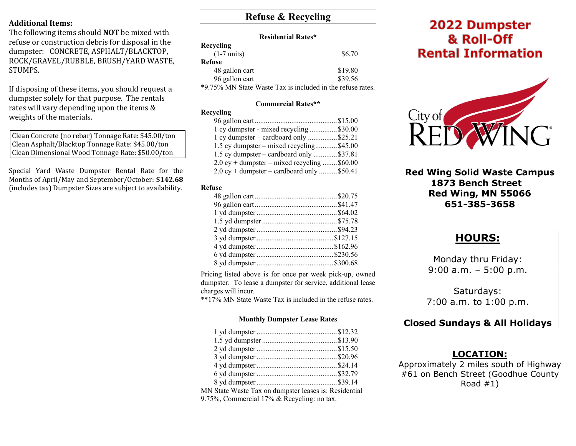### **Additional Items:**

The following items should **NOT** be mixed with refuse or construction debris for disposal in the dumpster: CONCRETE, ASPHALT/BLACKTOP, ROCK/GRAVEL/RUBBLE, BRUSH/YARD WASTE, STUMPS.

If disposing of these items, you should request a dumpster solely for that purpose. The rentals rates will vary depending upon the items & weights of the materials.

Clean Concrete (no rebar) Tonnage Rate: \$45.00/ton Clean Asphalt/Blacktop Tonnage Rate: \$45.00/ton Clean Dimensional Wood Tonnage Rate: \$50.00/ton

Special Yard Waste Dumpster Rental Rate for the Months of April/May and September/October: **\$142.68** (includes tax) Dumpster Sizes are subject to availability.

# **Refuse & Recycling**

### **Residential Rates\***

| Recycling                                                  |         |
|------------------------------------------------------------|---------|
| $(1-7 \text{ units})$                                      | \$6.70  |
| Refuse                                                     |         |
| 48 gallon cart                                             | \$19.80 |
| 96 gallon cart                                             | \$39.56 |
| *9.75% MN State Waste Tax is included in the refuse rates. |         |

#### **Commercial Rates\*\***

## **Recycling**

| 1 cy dumpster - mixed recycling \$30.00                                                |  |
|----------------------------------------------------------------------------------------|--|
| 1 cy dumpster – cardboard only \$25.21                                                 |  |
| 1.5 cy dumpster – mixed recycling \$45.00                                              |  |
| 1.5 cy dumpster – cardboard only  \$37.81                                              |  |
| $2.0 \text{ cy} + \text{dumpster} - \text{mixed recycling} \dots \dots \text{$} 60.00$ |  |
| $2.0 \text{ cy} + \text{dumpster} - \text{cardboard only}$ \$50.41                     |  |

#### **Refuse**

Pricing listed above is for once per week pick-up, owned dumpster. To lease a dumpster for service, additional lease charges will incur.

\*\*17% MN State Waste Tax is included in the refuse rates.

### **Monthly Dumpster Lease Rates**

| MM State Waste Tax on dumnator leases in Desidentie |  |
|-----------------------------------------------------|--|

MN State Waste Tax on dumpster leases is: Residential 9.75%, Commercial 17% & Recycling: no tax.

# 2022 Dumpster & Roll-Off **Rental Information**



**Red Wing Solid Waste Campus 1873 Bench Street Red Wing, MN 55066 651-385-3658** 

# **HOURS:**

Monday thru Friday: 9:00 a.m. – 5:00 p.m.

Saturdays: 7:00 a.m. to 1:00 p.m.

# **Closed Sundays & All Holidays**

## **LOCATION:**

Approximately 2 miles south of Highway #61 on Bench Street (Goodhue County Road  $#1)$